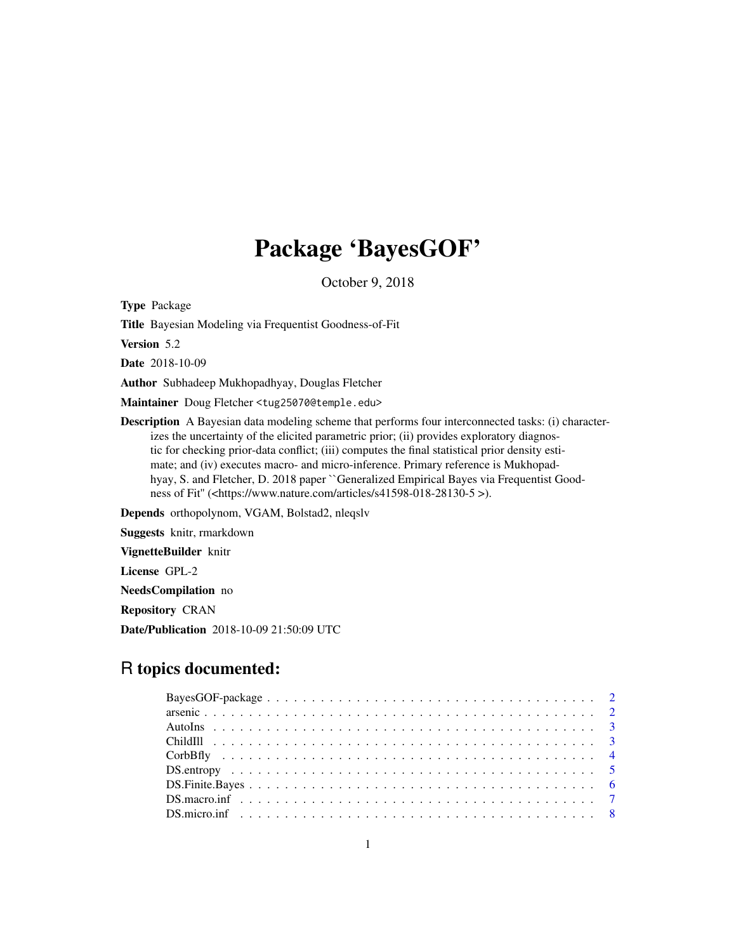# Package 'BayesGOF'

October 9, 2018

Type Package

Title Bayesian Modeling via Frequentist Goodness-of-Fit

Version 5.2

Date 2018-10-09

Author Subhadeep Mukhopadhyay, Douglas Fletcher

Maintainer Doug Fletcher <tug25070@temple.edu>

Description A Bayesian data modeling scheme that performs four interconnected tasks: (i) characterizes the uncertainty of the elicited parametric prior; (ii) provides exploratory diagnostic for checking prior-data conflict; (iii) computes the final statistical prior density estimate; and (iv) executes macro- and micro-inference. Primary reference is Mukhopadhyay, S. and Fletcher, D. 2018 paper ``Generalized Empirical Bayes via Frequentist Goodness of Fit" (<https://www.nature.com/articles/s41598-018-28130-5 >).

Depends orthopolynom, VGAM, Bolstad2, nleqslv

Suggests knitr, rmarkdown

VignetteBuilder knitr

License GPL-2

NeedsCompilation no

Repository CRAN

Date/Publication 2018-10-09 21:50:09 UTC

# R topics documented: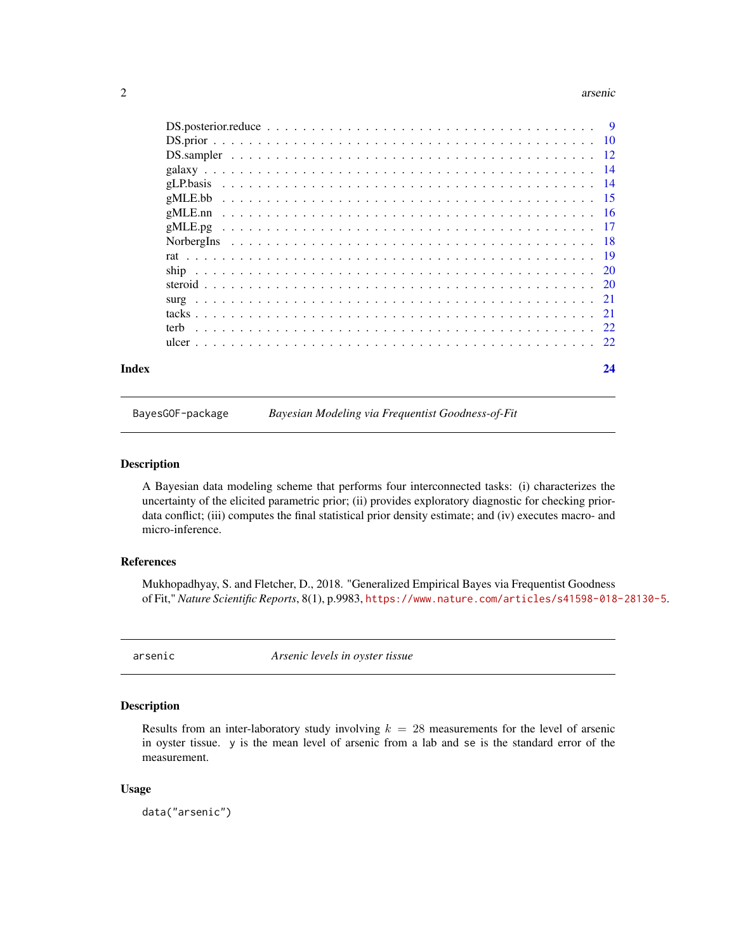#### <span id="page-1-0"></span>2 arsenic

| Index | 24 |
|-------|----|
|       |    |
|       |    |
|       |    |
|       |    |
|       |    |
|       |    |
|       |    |
|       |    |
|       |    |
|       |    |
|       |    |
|       |    |
|       |    |
|       |    |
|       |    |
|       |    |

BayesGOF-package *Bayesian Modeling via Frequentist Goodness-of-Fit*

# Description

A Bayesian data modeling scheme that performs four interconnected tasks: (i) characterizes the uncertainty of the elicited parametric prior; (ii) provides exploratory diagnostic for checking priordata conflict; (iii) computes the final statistical prior density estimate; and (iv) executes macro- and micro-inference.

# References

Mukhopadhyay, S. and Fletcher, D., 2018. "Generalized Empirical Bayes via Frequentist Goodness of Fit," *Nature Scientific Reports*, 8(1), p.9983, <https://www.nature.com/articles/s41598-018-28130-5>.

arsenic *Arsenic levels in oyster tissue*

### Description

Results from an inter-laboratory study involving  $k = 28$  measurements for the level of arsenic in oyster tissue. y is the mean level of arsenic from a lab and se is the standard error of the measurement.

#### Usage

data("arsenic")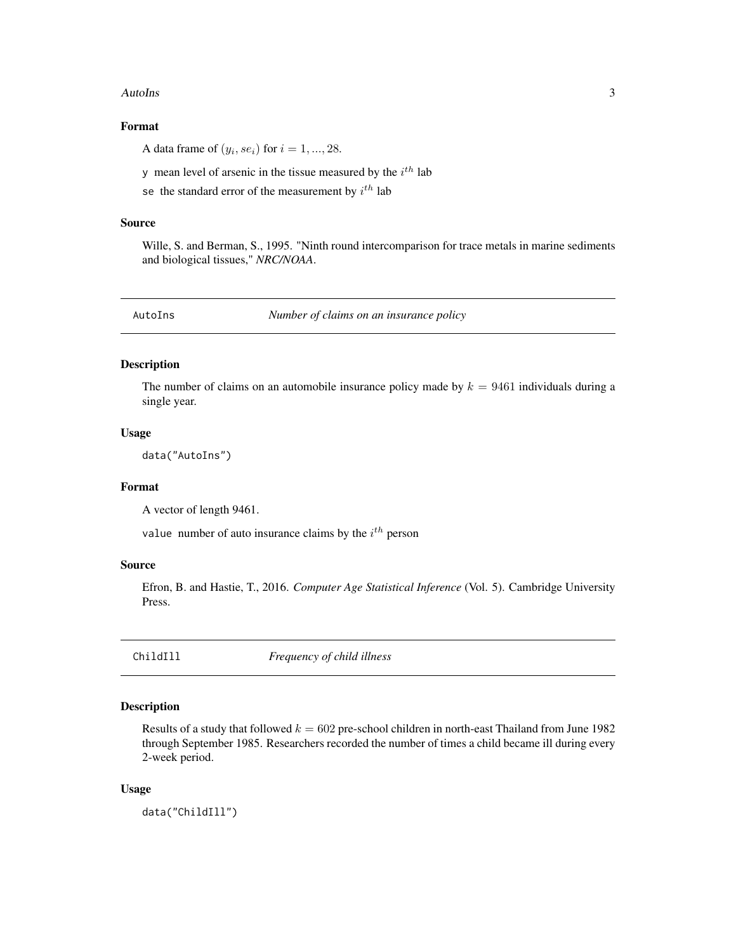#### <span id="page-2-0"></span>AutoIns 3

# Format

A data frame of  $(y_i, s e_i)$  for  $i = 1, ..., 28$ .

y mean level of arsenic in the tissue measured by the  $i^{th}$  lab

se the standard error of the measurement by  $i^{th}$  lab

#### Source

Wille, S. and Berman, S., 1995. "Ninth round intercomparison for trace metals in marine sediments and biological tissues," *NRC/NOAA*.

AutoIns *Number of claims on an insurance policy*

# Description

The number of claims on an automobile insurance policy made by  $k = 9461$  individuals during a single year.

#### Usage

data("AutoIns")

#### Format

A vector of length 9461.

value number of auto insurance claims by the  $i<sup>th</sup>$  person

#### Source

Efron, B. and Hastie, T., 2016. *Computer Age Statistical Inference* (Vol. 5). Cambridge University Press.

ChildIll *Frequency of child illness*

### Description

Results of a study that followed  $k = 602$  pre-school children in north-east Thailand from June 1982 through September 1985. Researchers recorded the number of times a child became ill during every 2-week period.

#### Usage

data("ChildIll")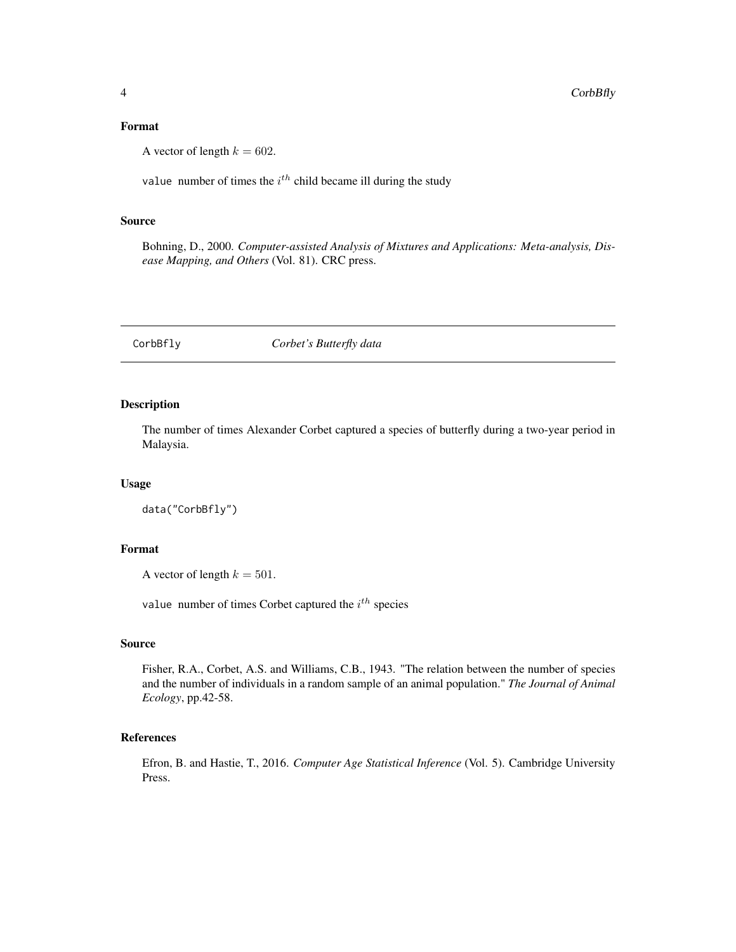# <span id="page-3-0"></span>Format

A vector of length  $k = 602$ .

value number of times the  $i<sup>th</sup>$  child became ill during the study

#### Source

Bohning, D., 2000. *Computer-assisted Analysis of Mixtures and Applications: Meta-analysis, Disease Mapping, and Others* (Vol. 81). CRC press.

CorbBfly *Corbet's Butterfly data*

# Description

The number of times Alexander Corbet captured a species of butterfly during a two-year period in Malaysia.

#### Usage

data("CorbBfly")

# Format

A vector of length  $k = 501$ .

value number of times Corbet captured the  $i^{th}$  species

#### Source

Fisher, R.A., Corbet, A.S. and Williams, C.B., 1943. "The relation between the number of species and the number of individuals in a random sample of an animal population." *The Journal of Animal Ecology*, pp.42-58.

# References

Efron, B. and Hastie, T., 2016. *Computer Age Statistical Inference* (Vol. 5). Cambridge University Press.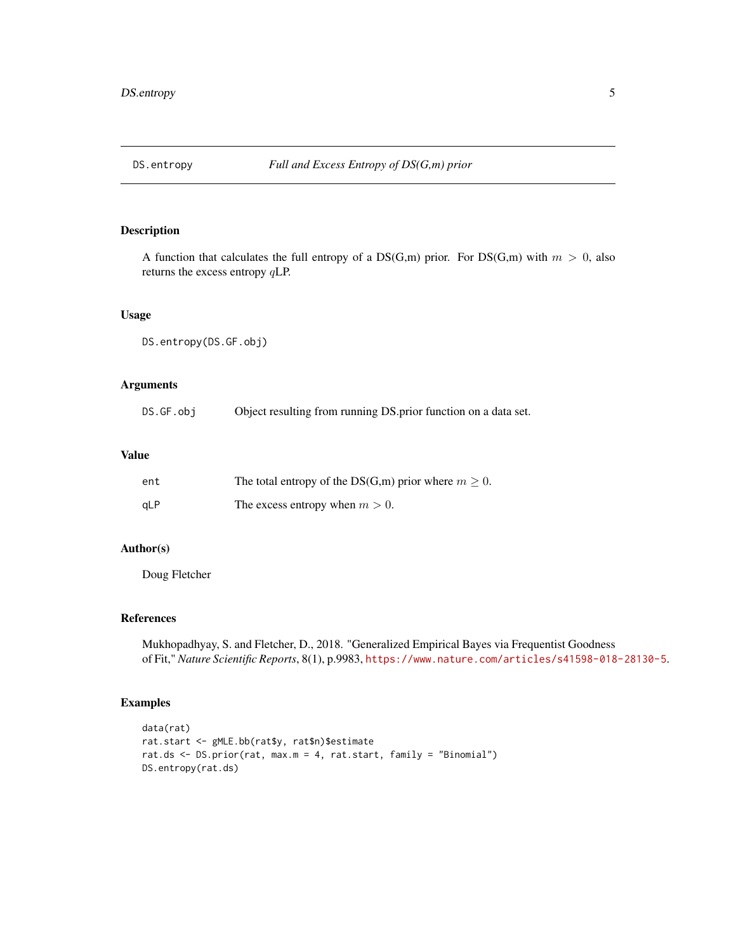<span id="page-4-0"></span>

A function that calculates the full entropy of a  $DS(G,m)$  prior. For  $DS(G,m)$  with  $m > 0$ , also returns the excess entropy qLP.

# Usage

```
DS.entropy(DS.GF.obj)
```
# Arguments

| DS.GF.obj | Object resulting from running DS prior function on a data set. |  |  |  |
|-----------|----------------------------------------------------------------|--|--|--|
|-----------|----------------------------------------------------------------|--|--|--|

# Value

| ent        | The total entropy of the DS(G,m) prior where $m \geq 0$ . |
|------------|-----------------------------------------------------------|
| <b>aLP</b> | The excess entropy when $m > 0$ .                         |

# Author(s)

Doug Fletcher

# References

Mukhopadhyay, S. and Fletcher, D., 2018. "Generalized Empirical Bayes via Frequentist Goodness of Fit," *Nature Scientific Reports*, 8(1), p.9983, <https://www.nature.com/articles/s41598-018-28130-5>.

# Examples

```
data(rat)
rat.start <- gMLE.bb(rat$y, rat$n)$estimate
rat.ds <- DS.prior(rat, max.m = 4, rat.start, family = "Binomial")
DS.entropy(rat.ds)
```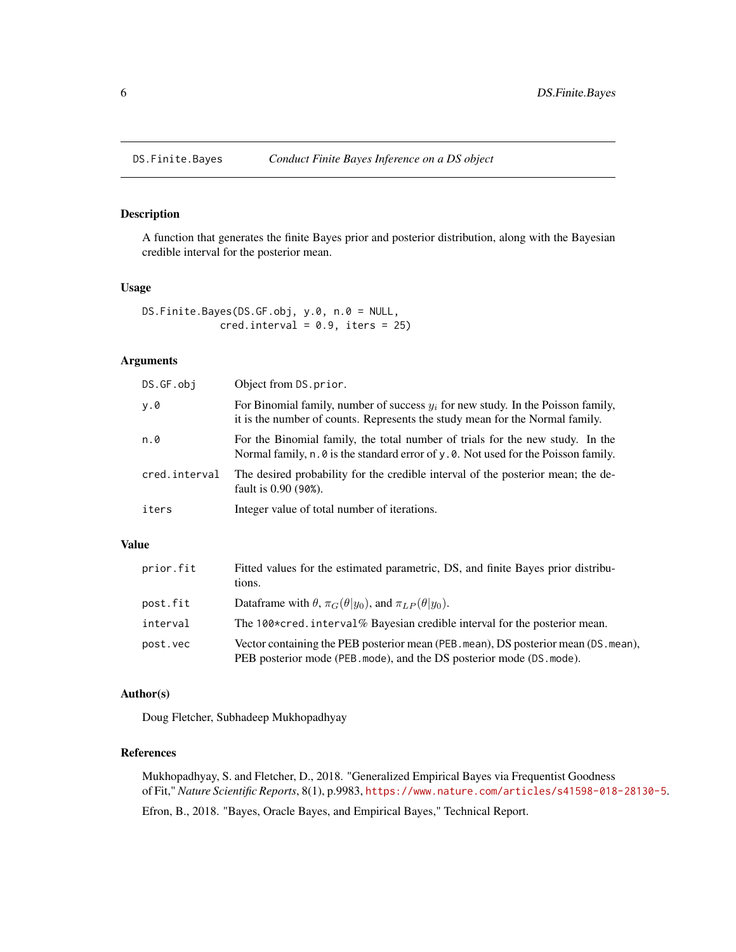<span id="page-5-0"></span>

A function that generates the finite Bayes prior and posterior distribution, along with the Bayesian credible interval for the posterior mean.

# Usage

```
DS.Finite.Bayes(DS.GF.obj, y.0, n.0 = NULL,
             cred.interval = 0.9, iters = 25)
```
# Arguments

| DS.GF.obj     | Object from DS.prior.                                                                                                                                                                   |
|---------------|-----------------------------------------------------------------------------------------------------------------------------------------------------------------------------------------|
| y.0           | For Binomial family, number of success $y_i$ for new study. In the Poisson family,<br>it is the number of counts. Represents the study mean for the Normal family.                      |
| n.0           | For the Binomial family, the total number of trials for the new study. In the<br>Normal family, $n \cdot \theta$ is the standard error of y $\theta$ . Not used for the Poisson family. |
| cred.interval | The desired probability for the credible interval of the posterior mean; the de-<br>fault is 0.90 (90%).                                                                                |
| iters         | Integer value of total number of iterations.                                                                                                                                            |

# Value

| prior.fit | Fitted values for the estimated parametric, DS, and finite Bayes prior distribu-<br>tions.                                                                 |
|-----------|------------------------------------------------------------------------------------------------------------------------------------------------------------|
| post.fit  | Dataframe with $\theta$ , $\pi_G(\theta y_0)$ , and $\pi_{LP}(\theta y_0)$ .                                                                               |
| interval  | The 100*cred. interval% Bayesian credible interval for the posterior mean.                                                                                 |
| post.vec  | Vector containing the PEB posterior mean (PEB. mean), DS posterior mean (DS. mean),<br>PEB posterior mode (PEB mode), and the DS posterior mode (DS mode). |

# Author(s)

Doug Fletcher, Subhadeep Mukhopadhyay

# References

Mukhopadhyay, S. and Fletcher, D., 2018. "Generalized Empirical Bayes via Frequentist Goodness of Fit," *Nature Scientific Reports*, 8(1), p.9983, <https://www.nature.com/articles/s41598-018-28130-5>. Efron, B., 2018. "Bayes, Oracle Bayes, and Empirical Bayes," Technical Report.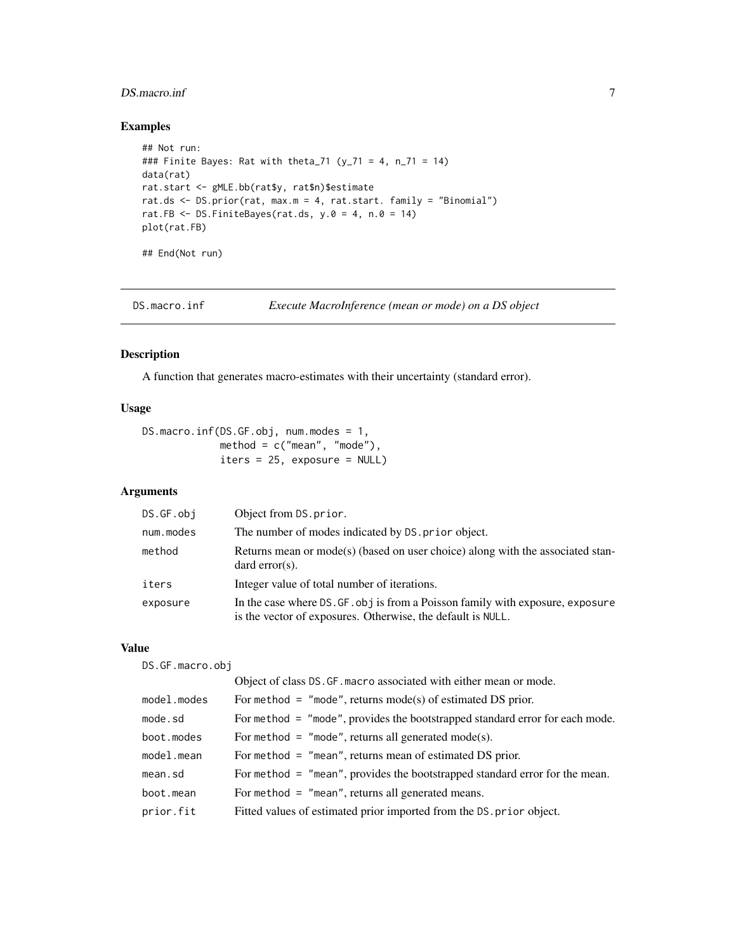# <span id="page-6-0"></span>DS.macro.inf 7

# Examples

```
## Not run:
### Finite Bayes: Rat with theta_71 (y_71 = 4, n_71 = 14)
data(rat)
rat.start <- gMLE.bb(rat$y, rat$n)$estimate
rat.ds <- DS.prior(rat, max.m = 4, rat.start. family = "Binomial")
rat.FB \leq DS.FiniteBayes(rat.ds, y.0 = 4, n.0 = 14)
plot(rat.FB)
## End(Not run)
```
DS.macro.inf *Execute MacroInference (mean or mode) on a DS object*

#### Description

A function that generates macro-estimates with their uncertainty (standard error).

### Usage

```
DS.macro.inf(DS.GF.obj, num.modes = 1,
            method = c("mean", "mode"),
            iters = 25, exposure = NULL)
```
# Arguments

| DS.GF.obj | Object from DS.prior.                                                                                                                         |
|-----------|-----------------------------------------------------------------------------------------------------------------------------------------------|
| num.modes | The number of modes indicated by DS. prior object.                                                                                            |
| method    | Returns mean or mode(s) (based on user choice) along with the associated stan-<br>$dard error(s)$ .                                           |
| iters     | Integer value of total number of iterations.                                                                                                  |
| exposure  | In the case where DS. GF. obj is from a Poisson family with exposure, exposure<br>is the vector of exposures. Otherwise, the default is NULL. |

# Value

DS.GF.macro.obj

|             | Object of class DS. GF. macro associated with either mean or mode.             |
|-------------|--------------------------------------------------------------------------------|
| model.modes | For method = "mode", returns mode(s) of estimated DS prior.                    |
| mode.sd     | For method $=$ "mode", provides the bootstrapped standard error for each mode. |
| boot.modes  | For method = $"$ mode", returns all generated mode(s).                         |
| model.mean  | For method $=$ "mean", returns mean of estimated DS prior.                     |
| mean.sd     | For method $=$ "mean", provides the bootstrapped standard error for the mean.  |
| boot.mean   | For method $=$ "mean", returns all generated means.                            |
| prior.fit   | Fitted values of estimated prior imported from the DS. prior object.           |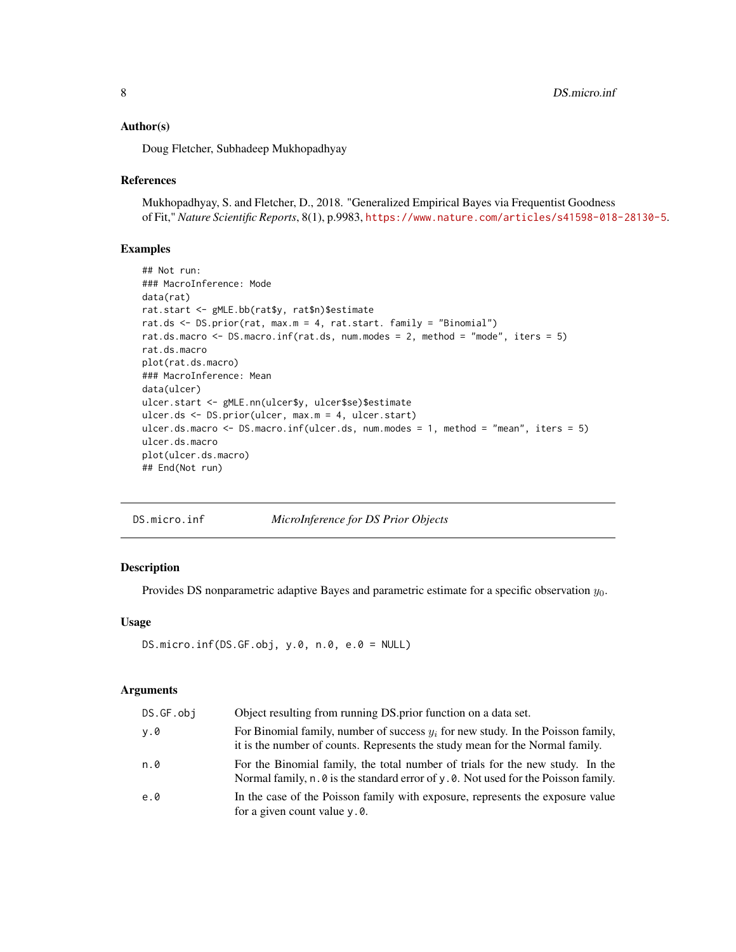#### <span id="page-7-0"></span>Author(s)

Doug Fletcher, Subhadeep Mukhopadhyay

### References

Mukhopadhyay, S. and Fletcher, D., 2018. "Generalized Empirical Bayes via Frequentist Goodness of Fit," *Nature Scientific Reports*, 8(1), p.9983, <https://www.nature.com/articles/s41598-018-28130-5>.

## Examples

```
## Not run:
### MacroInference: Mode
data(rat)
rat.start <- gMLE.bb(rat$y, rat$n)$estimate
rat.ds <- DS.prior(rat, max.m = 4, rat.start. family = "Binomial")
rat.ds.macro <- DS.macro.inf(rat.ds, num.modes = 2, method = "mode", iters = 5)
rat.ds.macro
plot(rat.ds.macro)
### MacroInference: Mean
data(ulcer)
ulcer.start <- gMLE.nn(ulcer$y, ulcer$se)$estimate
ulcer.ds <- DS.prior(ulcer, max.m = 4, ulcer.start)
ulcer.ds.macro <- DS.macro.inf(ulcer.ds, num.modes = 1, method = "mean", iters = 5)
ulcer.ds.macro
plot(ulcer.ds.macro)
## End(Not run)
```

| DS.micro.inf | MicroInference for DS Prior Objects |  |
|--------------|-------------------------------------|--|
|              |                                     |  |

# Description

Provides DS nonparametric adaptive Bayes and parametric estimate for a specific observation  $y_0$ .

# Usage

```
DS.micro.inf(DS.GF.obj, y.0, n.0, e.0 = NULL)
```
#### Arguments

| DS.GF.obi | Object resulting from running DS.prior function on a data set.                                                                                                       |
|-----------|----------------------------------------------------------------------------------------------------------------------------------------------------------------------|
| v.0       | For Binomial family, number of success $y_i$ for new study. In the Poisson family,<br>it is the number of counts. Represents the study mean for the Normal family.   |
| n.0       | For the Binomial family, the total number of trials for the new study. In the<br>Normal family, n. 0 is the standard error of y. 0. Not used for the Poisson family. |
| e.0       | In the case of the Poisson family with exposure, represents the exposure value<br>for a given count value y.0.                                                       |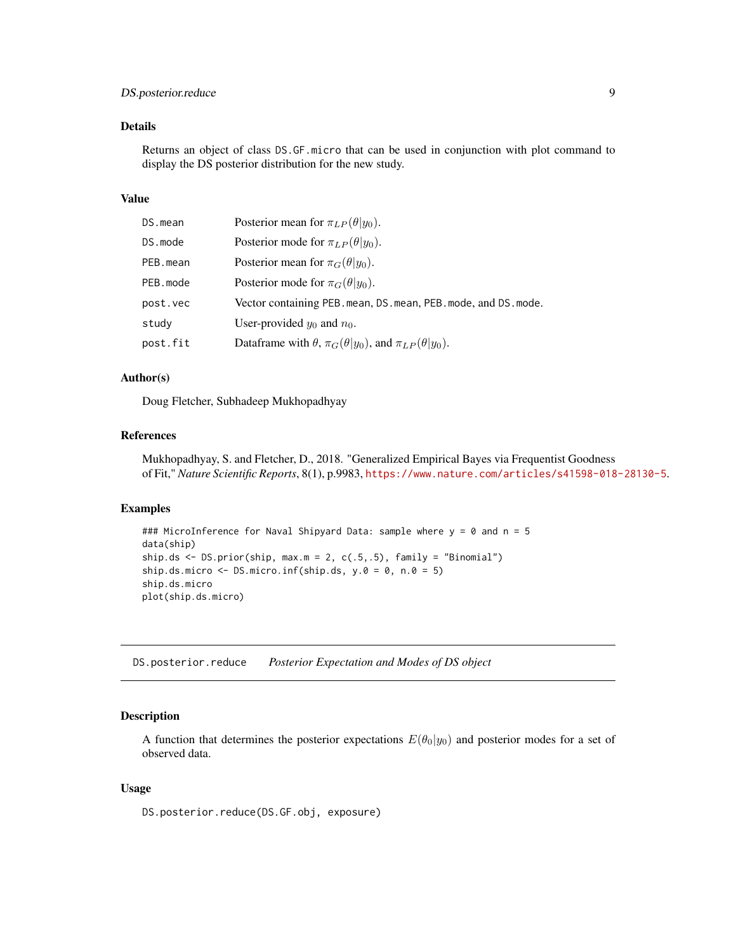# <span id="page-8-0"></span>DS.posterior.reduce 9

# Details

Returns an object of class DS.GF.micro that can be used in conjunction with plot command to display the DS posterior distribution for the new study.

# Value

| DS.mean  | Posterior mean for $\pi_{LP}(\theta   y_0)$ .                                |
|----------|------------------------------------------------------------------------------|
| DS.mode  | Posterior mode for $\pi_{LP}(\theta   y_0)$ .                                |
| PEB.mean | Posterior mean for $\pi_G(\theta y_0)$ .                                     |
| PEB.mode | Posterior mode for $\pi_G(\theta y_0)$ .                                     |
| post.vec | Vector containing PEB. mean, DS. mean, PEB. mode, and DS. mode.              |
| study    | User-provided $y_0$ and $n_0$ .                                              |
| post.fit | Dataframe with $\theta$ , $\pi_G(\theta y_0)$ , and $\pi_{LP}(\theta y_0)$ . |

#### Author(s)

Doug Fletcher, Subhadeep Mukhopadhyay

# References

Mukhopadhyay, S. and Fletcher, D., 2018. "Generalized Empirical Bayes via Frequentist Goodness of Fit," *Nature Scientific Reports*, 8(1), p.9983, <https://www.nature.com/articles/s41598-018-28130-5>.

# Examples

```
### MicroInference for Naval Shipyard Data: sample where y = 0 and n = 5
data(ship)
ship.ds \leq DS.prior(ship, max.m = 2, c(.5,.5), family = "Binomial")
ship.ds.micro \leq DS.micro.inf(ship.ds, y.\theta = \theta, n.\theta = 5)
ship.ds.micro
plot(ship.ds.micro)
```
DS.posterior.reduce *Posterior Expectation and Modes of DS object*

# Description

A function that determines the posterior expectations  $E(\theta_0|y_0)$  and posterior modes for a set of observed data.

# Usage

DS.posterior.reduce(DS.GF.obj, exposure)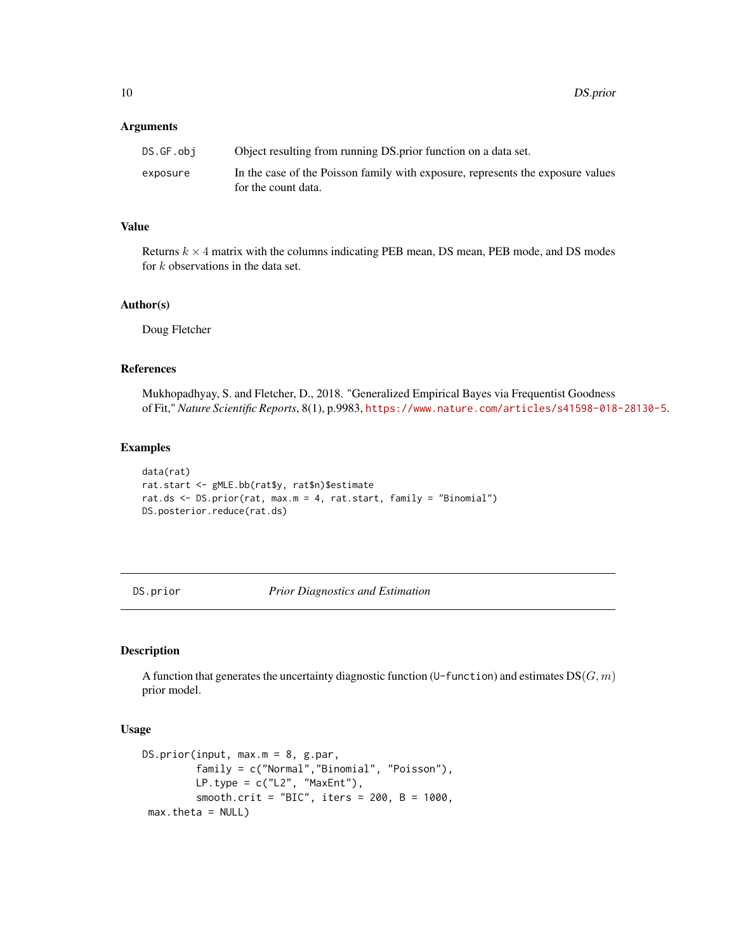#### <span id="page-9-0"></span>**Arguments**

| DS.GF.obi | Object resulting from running DS prior function on a data set.                                         |
|-----------|--------------------------------------------------------------------------------------------------------|
| exposure  | In the case of the Poisson family with exposure, represents the exposure values<br>for the count data. |

# Value

Returns  $k \times 4$  matrix with the columns indicating PEB mean, DS mean, PEB mode, and DS modes for k observations in the data set.

# Author(s)

Doug Fletcher

# References

Mukhopadhyay, S. and Fletcher, D., 2018. "Generalized Empirical Bayes via Frequentist Goodness of Fit," *Nature Scientific Reports*, 8(1), p.9983, <https://www.nature.com/articles/s41598-018-28130-5>.

#### Examples

```
data(rat)
rat.start <- gMLE.bb(rat$y, rat$n)$estimate
rat.ds <- DS.prior(rat, max.m = 4, rat.start, family = "Binomial")
DS.posterior.reduce(rat.ds)
```
DS.prior *Prior Diagnostics and Estimation*

#### Description

A function that generates the uncertainty diagnostic function (U-function) and estimates  $DS(G, m)$ prior model.

#### Usage

```
DS.prior(input, max.m = 8, g.par,
         family = c("Normal","Binomial", "Poisson"),
        LP.type = c("L2", "MaxEnt"),smooth.crit = "BIC", iters = 200, B = 1000,
max.theta = NULL)
```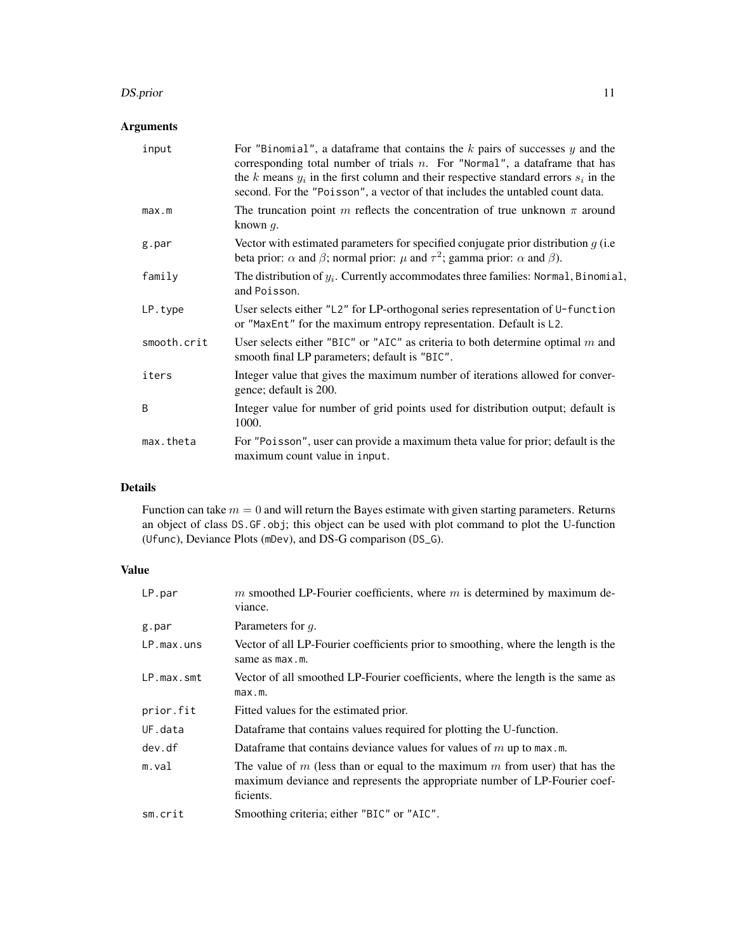#### DS.prior that the contract of the contract of the contract of the contract of the contract of the contract of the contract of the contract of the contract of the contract of the contract of the contract of the contract of

# Arguments

| input       | For "Binomial", a data frame that contains the $k$ pairs of successes $y$ and the<br>corresponding total number of trials $n$ . For "Normal", a dataframe that has<br>the k means $y_i$ in the first column and their respective standard errors $s_i$ in the<br>second. For the "Poisson", a vector of that includes the untabled count data. |
|-------------|------------------------------------------------------------------------------------------------------------------------------------------------------------------------------------------------------------------------------------------------------------------------------------------------------------------------------------------------|
| max.m       | The truncation point m reflects the concentration of true unknown $\pi$ around<br>known $q$ .                                                                                                                                                                                                                                                  |
| g.par       | Vector with estimated parameters for specified conjugate prior distribution $g$ (i.e.<br>beta prior: $\alpha$ and $\beta$ ; normal prior: $\mu$ and $\tau^2$ ; gamma prior: $\alpha$ and $\beta$ ).                                                                                                                                            |
| family      | The distribution of $y_i$ . Currently accommodates three families: Normal, Binomial,<br>and Poisson.                                                                                                                                                                                                                                           |
| LP.type     | User selects either "L2" for LP-orthogonal series representation of $U$ -function<br>or "MaxEnt" for the maximum entropy representation. Default is L2.                                                                                                                                                                                        |
| smooth.crit | User selects either "BIC" or "AIC" as criteria to both determine optimal $m$ and<br>smooth final LP parameters; default is "BIC".                                                                                                                                                                                                              |
| iters       | Integer value that gives the maximum number of iterations allowed for conver-<br>gence; default is 200.                                                                                                                                                                                                                                        |
| B           | Integer value for number of grid points used for distribution output; default is<br>1000.                                                                                                                                                                                                                                                      |
| max.theta   | For "Poisson", user can provide a maximum theta value for prior; default is the<br>maximum count value in input.                                                                                                                                                                                                                               |

# Details

Function can take  $m = 0$  and will return the Bayes estimate with given starting parameters. Returns an object of class DS.GF.obj; this object can be used with plot command to plot the U-function (Ufunc), Deviance Plots (mDev), and DS-G comparison (DS\_G).

# Value

| LP.par     | $m$ smoothed LP-Fourier coefficients, where $m$ is determined by maximum de-<br>viance.                                                                                |
|------------|------------------------------------------------------------------------------------------------------------------------------------------------------------------------|
| g.par      | Parameters for q.                                                                                                                                                      |
| LP.max.uns | Vector of all LP-Fourier coefficients prior to smoothing, where the length is the<br>same as max.m.                                                                    |
| LP.max.smt | Vector of all smoothed LP-Fourier coefficients, where the length is the same as<br>max.m.                                                                              |
| prior.fit  | Fitted values for the estimated prior.                                                                                                                                 |
| UF.data    | Dataframe that contains values required for plotting the U-function.                                                                                                   |
| dev.df     | Dataframe that contains deviance values for values of $m$ up to max.m.                                                                                                 |
| m.va1      | The value of m (less than or equal to the maximum m from user) that has the<br>maximum deviance and represents the appropriate number of LP-Fourier coef-<br>ficients. |
| sm.crit    | Smoothing criteria; either "BIC" or "AIC".                                                                                                                             |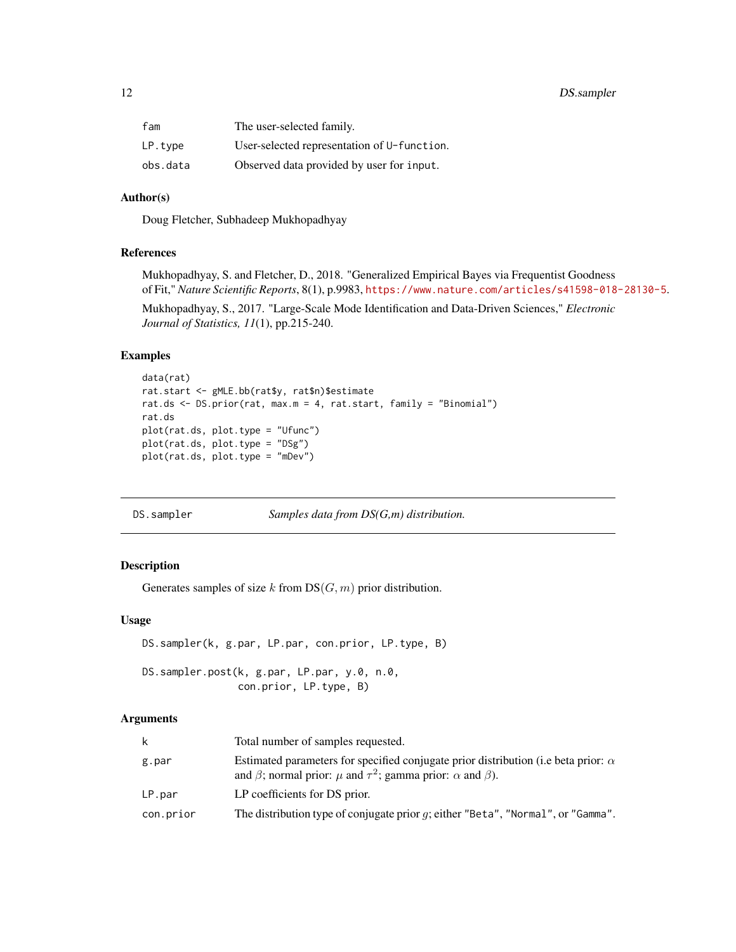<span id="page-11-0"></span>

| fam      | The user-selected family.                   |
|----------|---------------------------------------------|
| LP.tvpe  | User-selected representation of U-function. |
| obs.data | Observed data provided by user for input.   |

# Author(s)

Doug Fletcher, Subhadeep Mukhopadhyay

# References

Mukhopadhyay, S. and Fletcher, D., 2018. "Generalized Empirical Bayes via Frequentist Goodness of Fit," *Nature Scientific Reports*, 8(1), p.9983, <https://www.nature.com/articles/s41598-018-28130-5>.

Mukhopadhyay, S., 2017. "Large-Scale Mode Identification and Data-Driven Sciences," *Electronic Journal of Statistics, 11*(1), pp.215-240.

# Examples

```
data(rat)
rat.start <- gMLE.bb(rat$y, rat$n)$estimate
rat.ds <- DS.prior(rat, max.m = 4, rat.start, family = "Binomial")
rat.ds
plot(rat.ds, plot.type = "Ufunc")
plot(rat.ds, plot.type = "DSg")
plot(rat.ds, plot.type = "mDev")
```
DS.sampler *Samples data from DS(G,m) distribution.*

# Description

Generates samples of size k from  $DS(G, m)$  prior distribution.

# Usage

```
DS.sampler(k, g.par, LP.par, con.prior, LP.type, B)
```
DS.sampler.post(k, g.par, LP.par, y.0, n.0, con.prior, LP.type, B)

#### Arguments

| k         | Total number of samples requested.                                                                                                                                                 |
|-----------|------------------------------------------------------------------------------------------------------------------------------------------------------------------------------------|
| g.par     | Estimated parameters for specified conjugate prior distribution (i.e beta prior: $\alpha$<br>and $\beta$ ; normal prior: $\mu$ and $\tau^2$ ; gamma prior: $\alpha$ and $\beta$ ). |
| LP.par    | LP coefficients for DS prior.                                                                                                                                                      |
| con.prior | The distribution type of conjugate prior $q$ ; either "Beta", "Normal", or "Gamma".                                                                                                |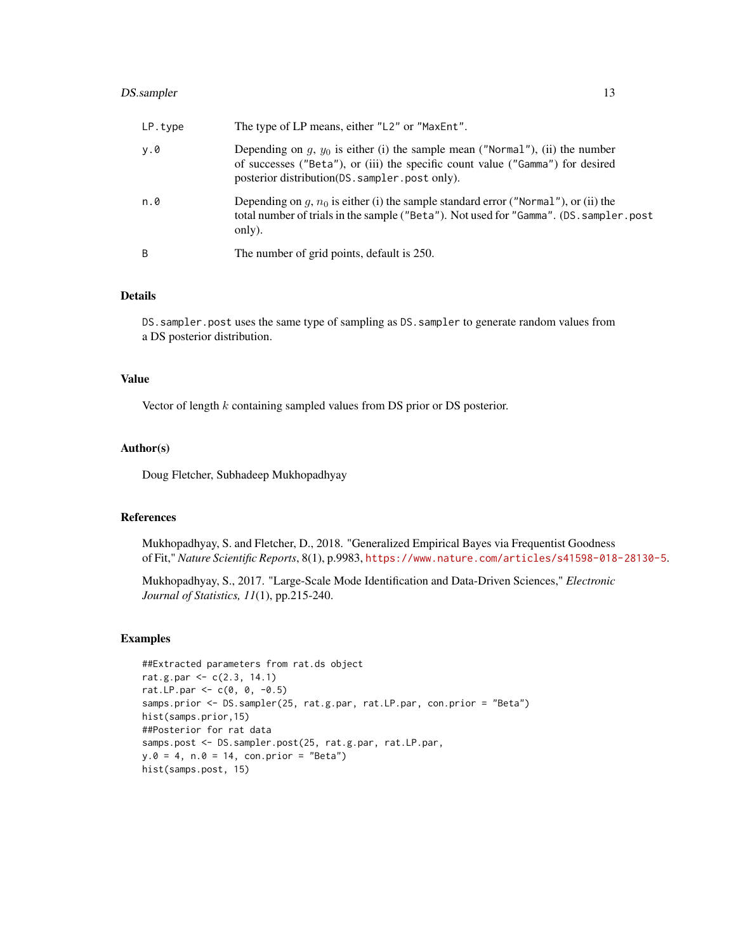# DS.sampler 13

| LP.type | The type of LP means, either "L2" or "MaxEnt".                                                                                                                                                                        |
|---------|-----------------------------------------------------------------------------------------------------------------------------------------------------------------------------------------------------------------------|
| y.0     | Depending on $q$ , $y_0$ is either (i) the sample mean ("Normal"), (ii) the number<br>of successes ("Beta"), or (iii) the specific count value ("Gamma") for desired<br>posterior distribution(DS.sampler.post only). |
| n.0     | Depending on $q$ , $n_0$ is either (i) the sample standard error ("Normal"), or (ii) the<br>total number of trials in the sample ("Beta"). Not used for "Gamma". (DS. sampler.post<br>only).                          |
| B       | The number of grid points, default is 250.                                                                                                                                                                            |

# Details

DS. sampler.post uses the same type of sampling as DS. sampler to generate random values from a DS posterior distribution.

# Value

Vector of length k containing sampled values from DS prior or DS posterior.

# Author(s)

Doug Fletcher, Subhadeep Mukhopadhyay

# References

Mukhopadhyay, S. and Fletcher, D., 2018. "Generalized Empirical Bayes via Frequentist Goodness of Fit," *Nature Scientific Reports*, 8(1), p.9983, <https://www.nature.com/articles/s41598-018-28130-5>.

Mukhopadhyay, S., 2017. "Large-Scale Mode Identification and Data-Driven Sciences," *Electronic Journal of Statistics, 11*(1), pp.215-240.

# Examples

```
##Extracted parameters from rat.ds object
rat.g.par <- c(2.3, 14.1)
rat.LP.par <- c(0, 0, -0.5)samps.prior <- DS.sampler(25, rat.g.par, rat.LP.par, con.prior = "Beta")
hist(samps.prior,15)
##Posterior for rat data
samps.post <- DS.sampler.post(25, rat.g.par, rat.LP.par,
y.0 = 4, n.0 = 14, con.prior = "Beta")
hist(samps.post, 15)
```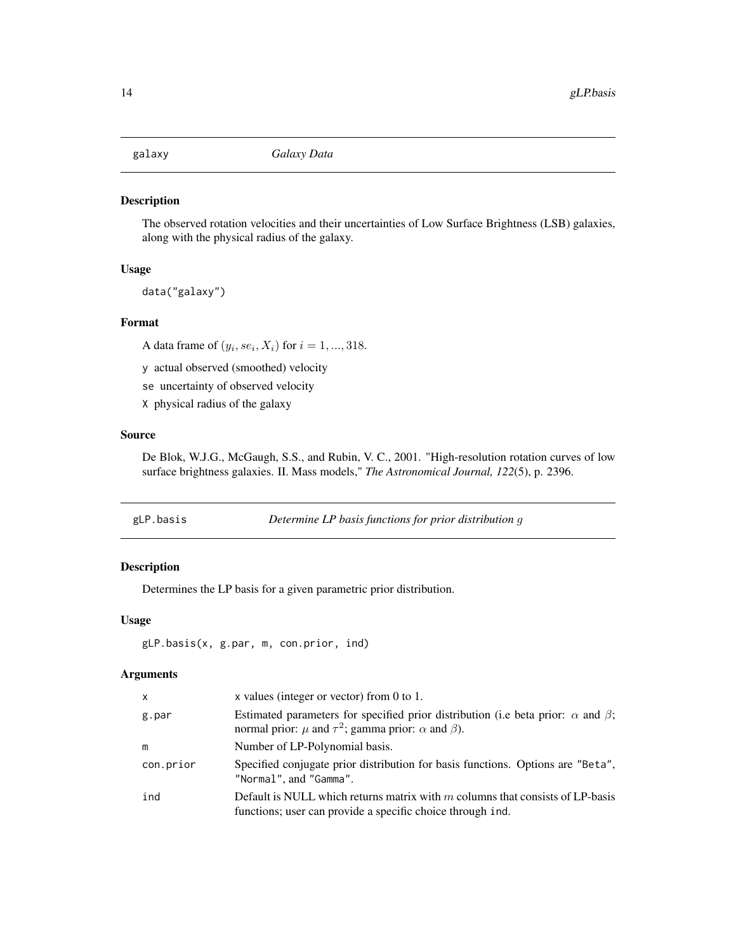<span id="page-13-0"></span>

The observed rotation velocities and their uncertainties of Low Surface Brightness (LSB) galaxies, along with the physical radius of the galaxy.

#### Usage

data("galaxy")

## Format

A data frame of  $(y_i, s e_i, X_i)$  for  $i = 1, ..., 318$ .

y actual observed (smoothed) velocity

se uncertainty of observed velocity

X physical radius of the galaxy

# Source

De Blok, W.J.G., McGaugh, S.S., and Rubin, V. C., 2001. "High-resolution rotation curves of low surface brightness galaxies. II. Mass models," *The Astronomical Journal, 122*(5), p. 2396.

| gLP.basis | Determine LP basis functions for prior distribution g |  |
|-----------|-------------------------------------------------------|--|
|-----------|-------------------------------------------------------|--|

# Description

Determines the LP basis for a given parametric prior distribution.

# Usage

```
gLP.basis(x, g.par, m, con.prior, ind)
```
# Arguments

| X         | x values (integer or vector) from 0 to 1.                                                                                                                                |
|-----------|--------------------------------------------------------------------------------------------------------------------------------------------------------------------------|
| g.par     | Estimated parameters for specified prior distribution (i.e beta prior: $\alpha$ and $\beta$ ;<br>normal prior: $\mu$ and $\tau^2$ ; gamma prior: $\alpha$ and $\beta$ ). |
| m         | Number of LP-Polynomial basis.                                                                                                                                           |
| con.prior | Specified conjugate prior distribution for basis functions. Options are "Beta",<br>"Normal", and "Gamma".                                                                |
| ind       | Default is NULL which returns matrix with $m$ columns that consists of LP-basis<br>functions; user can provide a specific choice through ind.                            |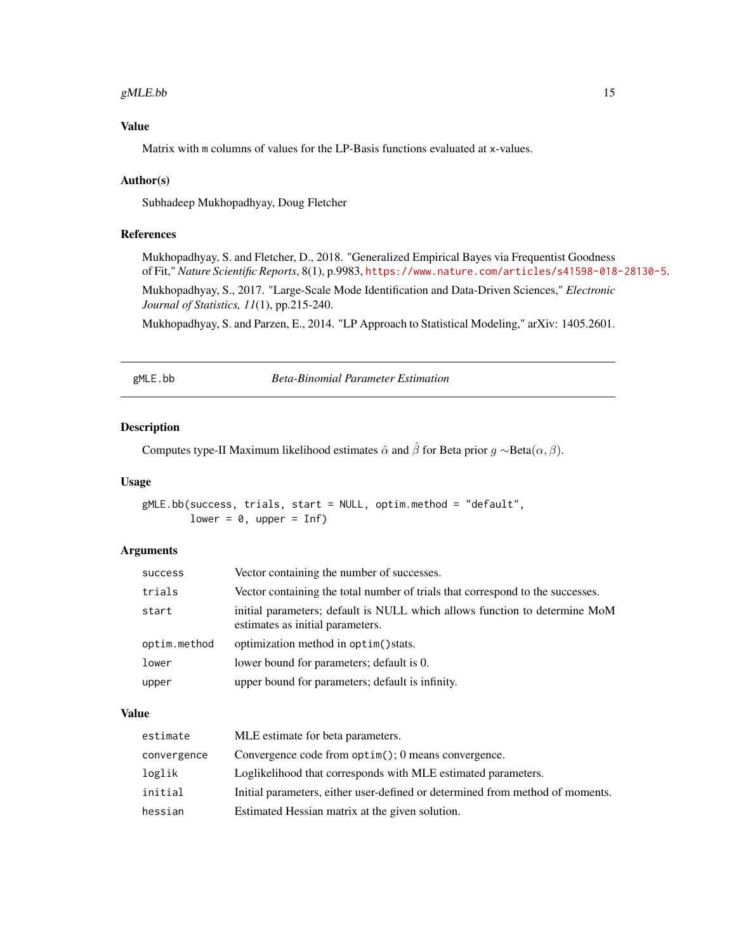#### <span id="page-14-0"></span>gMLE.bb  $15$

# Value

Matrix with m columns of values for the LP-Basis functions evaluated at x-values.

## Author(s)

Subhadeep Mukhopadhyay, Doug Fletcher

# References

Mukhopadhyay, S. and Fletcher, D., 2018. "Generalized Empirical Bayes via Frequentist Goodness of Fit," *Nature Scientific Reports*, 8(1), p.9983, <https://www.nature.com/articles/s41598-018-28130-5>. Mukhopadhyay, S., 2017. "Large-Scale Mode Identification and Data-Driven Sciences," *Electronic Journal of Statistics, 11*(1), pp.215-240.

Mukhopadhyay, S. and Parzen, E., 2014. "LP Approach to Statistical Modeling," arXiv: 1405.2601.

gMLE.bb *Beta-Binomial Parameter Estimation*

#### Description

Computes type-II Maximum likelihood estimates  $\hat{\alpha}$  and  $\hat{\beta}$  for Beta prior  $g \sim$ Beta $(\alpha, \beta)$ .

#### Usage

```
gMLE.bb(success, trials, start = NULL, optim.method = "default",
       lower = 0, upper = Inf)
```
#### Arguments

| success      | Vector containing the number of successes.                                                                     |
|--------------|----------------------------------------------------------------------------------------------------------------|
| trials       | Vector containing the total number of trials that correspond to the successes.                                 |
| start        | initial parameters; default is NULL which allows function to determine MoM<br>estimates as initial parameters. |
| optim.method | optimization method in optim() stats.                                                                          |
| lower        | lower bound for parameters; default is 0.                                                                      |
| upper        | upper bound for parameters; default is infinity.                                                               |

#### Value

| estimate    | MLE estimate for beta parameters.                                             |
|-------------|-------------------------------------------------------------------------------|
| convergence | Convergence code from $optim()$ ; 0 means convergence.                        |
| loglik      | Loglikelihood that corresponds with MLE estimated parameters.                 |
| initial     | Initial parameters, either user-defined or determined from method of moments. |
| hessian     | Estimated Hessian matrix at the given solution.                               |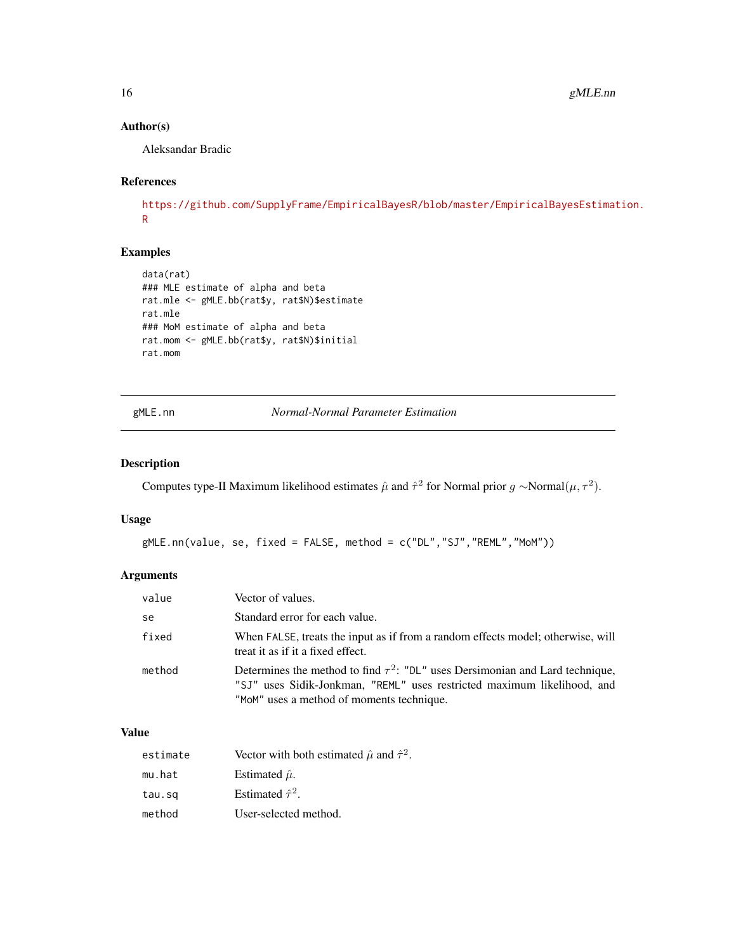# Author(s)

Aleksandar Bradic

# References

```
https://github.com/SupplyFrame/EmpiricalBayesR/blob/master/EmpiricalBayesEstimation.
R
```
# Examples

```
data(rat)
### MLE estimate of alpha and beta
rat.mle <- gMLE.bb(rat$y, rat$N)$estimate
rat.mle
### MoM estimate of alpha and beta
rat.mom <- gMLE.bb(rat$y, rat$N)$initial
rat.mom
```
gMLE.nn *Normal-Normal Parameter Estimation*

# Description

Computes type-II Maximum likelihood estimates  $\hat{\mu}$  and  $\hat{\tau}^2$  for Normal prior  $g \sim$ Normal $(\mu, \tau^2)$ .

# Usage

```
gMLE.nn(value, se, fixed = FALSE, method = c("DL","SJ","REML","MoM"))
```
# Arguments

| value  | Vector of values.                                                                                                                                                                                          |
|--------|------------------------------------------------------------------------------------------------------------------------------------------------------------------------------------------------------------|
| se     | Standard error for each value.                                                                                                                                                                             |
| fixed  | When FALSE, treats the input as if from a random effects model; otherwise, will<br>treat it as if it a fixed effect.                                                                                       |
| method | Determines the method to find $\tau^2$ : "DL" uses Dersimonian and Lard technique,<br>"SJ" uses Sidik-Jonkman, "REML" uses restricted maximum likelihood, and<br>"MoM" uses a method of moments technique. |

# Value

| estimate | Vector with both estimated $\hat{\mu}$ and $\hat{\tau}^2$ . |
|----------|-------------------------------------------------------------|
| mu.hat   | Estimated $\hat{\mu}$ .                                     |
| tau.sq   | Estimated $\hat{\tau}^2$ .                                  |
| method   | User-selected method.                                       |

<span id="page-15-0"></span>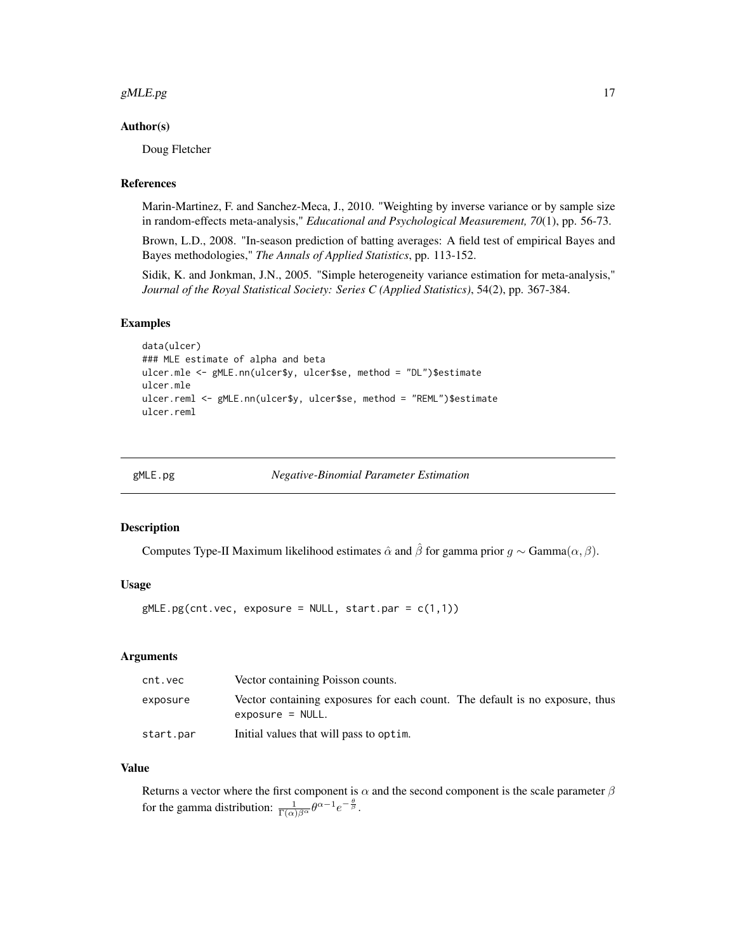#### <span id="page-16-0"></span>gMLE.pg  $17$

#### Author(s)

Doug Fletcher

### References

Marin-Martinez, F. and Sanchez-Meca, J., 2010. "Weighting by inverse variance or by sample size in random-effects meta-analysis," *Educational and Psychological Measurement, 70*(1), pp. 56-73.

Brown, L.D., 2008. "In-season prediction of batting averages: A field test of empirical Bayes and Bayes methodologies," *The Annals of Applied Statistics*, pp. 113-152.

Sidik, K. and Jonkman, J.N., 2005. "Simple heterogeneity variance estimation for meta-analysis," *Journal of the Royal Statistical Society: Series C (Applied Statistics)*, 54(2), pp. 367-384.

#### Examples

```
data(ulcer)
### MLE estimate of alpha and beta
ulcer.mle <- gMLE.nn(ulcer$y, ulcer$se, method = "DL")$estimate
ulcer.mle
ulcer.reml <- gMLE.nn(ulcer$y, ulcer$se, method = "REML")$estimate
ulcer.reml
```
gMLE.pg *Negative-Binomial Parameter Estimation*

### Description

Computes Type-II Maximum likelihood estimates  $\hat{\alpha}$  and  $\hat{\beta}$  for gamma prior  $g \sim \text{Gamma}(\alpha, \beta)$ .

#### Usage

 $gMLE.py$ (cnt.vec, exposure = NULL, start.par =  $c(1,1)$ )

#### Arguments

| cnt.vec   | Vector containing Poisson counts.                                                                  |
|-----------|----------------------------------------------------------------------------------------------------|
| exposure  | Vector containing exposures for each count. The default is no exposure, thus<br>$exposure = NULL.$ |
| start.par | Initial values that will pass to optim.                                                            |

## Value

Returns a vector where the first component is  $\alpha$  and the second component is the scale parameter  $\beta$ for the gamma distribution:  $\frac{1}{\Gamma(\alpha)\beta^{\alpha}}\theta^{\alpha-1}e^{-\frac{\theta}{\beta}}$ .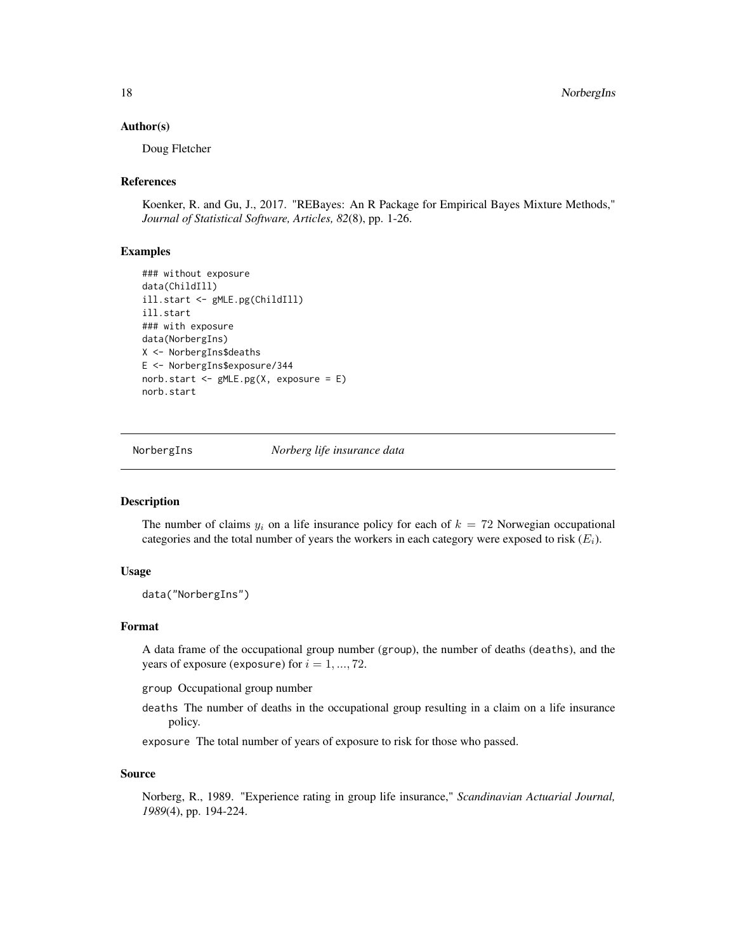<span id="page-17-0"></span>18 NorbergIns

#### Author(s)

Doug Fletcher

## References

Koenker, R. and Gu, J., 2017. "REBayes: An R Package for Empirical Bayes Mixture Methods," *Journal of Statistical Software, Articles, 82*(8), pp. 1-26.

# Examples

```
### without exposure
data(ChildIll)
ill.start <- gMLE.pg(ChildIll)
ill.start
### with exposure
data(NorbergIns)
X <- NorbergIns$deaths
E <- NorbergIns$exposure/344
norb.start <- gMLE.pg(X, exposure = E)
norb.start
```
NorbergIns *Norberg life insurance data*

## **Description**

The number of claims  $y_i$  on a life insurance policy for each of  $k = 72$  Norwegian occupational categories and the total number of years the workers in each category were exposed to risk  $(E_i)$ .

#### Usage

```
data("NorbergIns")
```
#### Format

A data frame of the occupational group number (group), the number of deaths (deaths), and the years of exposure (exposure) for  $i = 1, ..., 72$ .

group Occupational group number

deaths The number of deaths in the occupational group resulting in a claim on a life insurance policy.

exposure The total number of years of exposure to risk for those who passed.

#### Source

Norberg, R., 1989. "Experience rating in group life insurance," *Scandinavian Actuarial Journal, 1989*(4), pp. 194-224.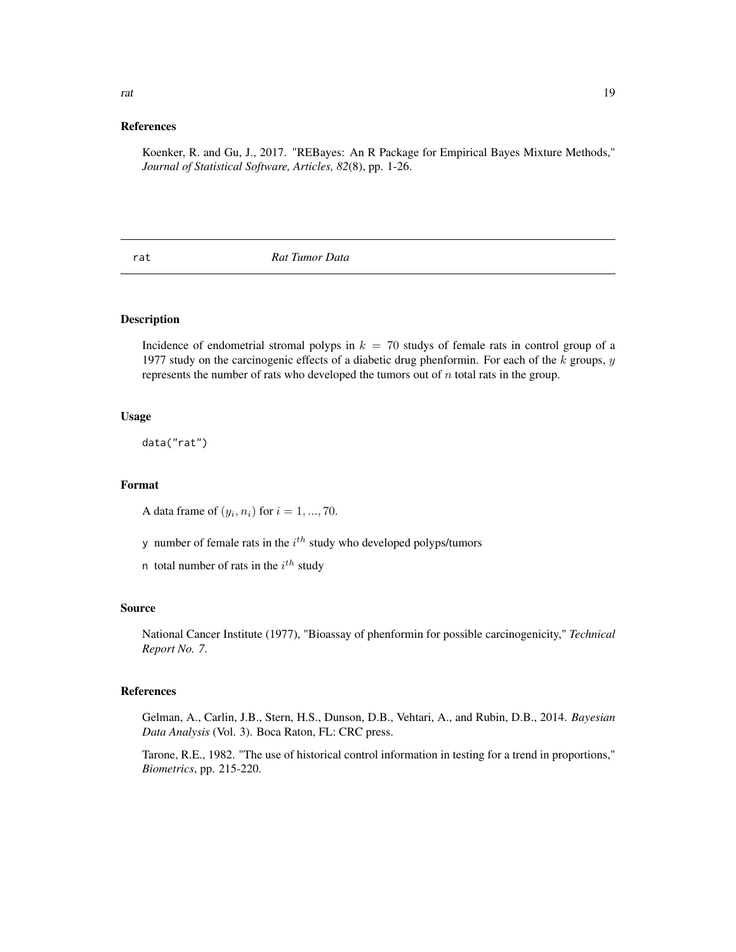#### <span id="page-18-0"></span>References

Koenker, R. and Gu, J., 2017. "REBayes: An R Package for Empirical Bayes Mixture Methods," *Journal of Statistical Software, Articles, 82*(8), pp. 1-26.

rat *Rat Tumor Data*

#### Description

Incidence of endometrial stromal polyps in  $k = 70$  studys of female rats in control group of a 1977 study on the carcinogenic effects of a diabetic drug phenformin. For each of the  $k$  groups,  $y$ represents the number of rats who developed the tumors out of  $n$  total rats in the group.

# Usage

data("rat")

#### Format

A data frame of  $(y_i, n_i)$  for  $i = 1, ..., 70$ .

y number of female rats in the  $i<sup>th</sup>$  study who developed polyps/tumors

n total number of rats in the  $i^{th}$  study

#### Source

National Cancer Institute (1977), "Bioassay of phenformin for possible carcinogenicity," *Technical Report No. 7*.

### References

Gelman, A., Carlin, J.B., Stern, H.S., Dunson, D.B., Vehtari, A., and Rubin, D.B., 2014. *Bayesian Data Analysis* (Vol. 3). Boca Raton, FL: CRC press.

Tarone, R.E., 1982. "The use of historical control information in testing for a trend in proportions," *Biometrics*, pp. 215-220.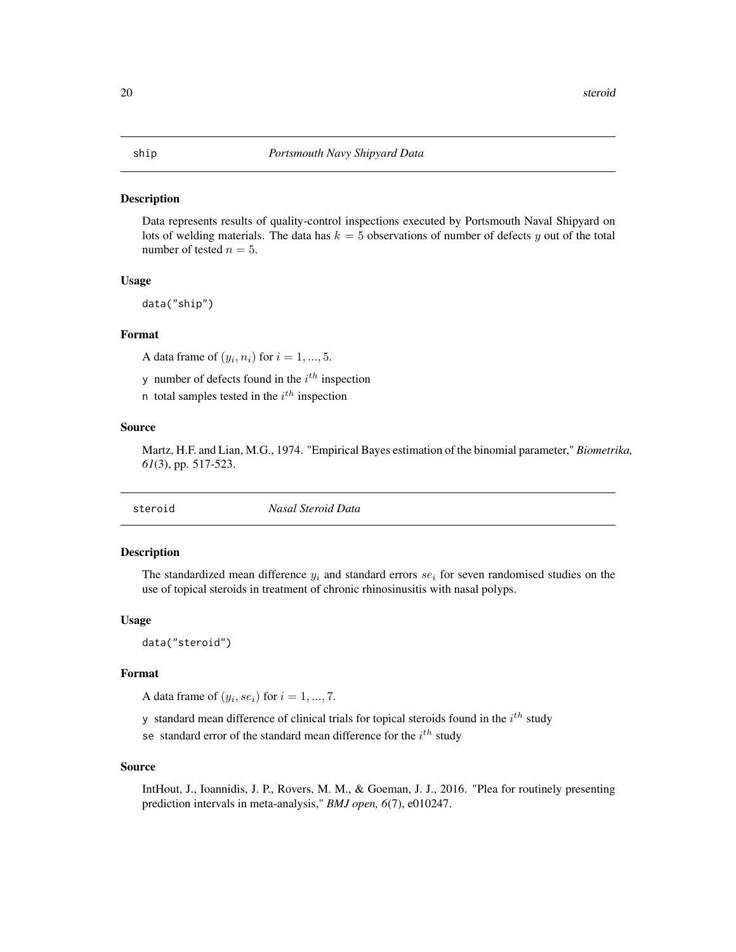<span id="page-19-0"></span>Data represents results of quality-control inspections executed by Portsmouth Naval Shipyard on lots of welding materials. The data has  $k = 5$  observations of number of defects y out of the total number of tested  $n = 5$ .

#### Usage

data("ship")

# Format

A data frame of  $(y_i, n_i)$  for  $i = 1, ..., 5$ .

y number of defects found in the  $i^{th}$  inspection

n total samples tested in the  $i^{th}$  inspection

# Source

Martz, H.F. and Lian, M.G., 1974. "Empirical Bayes estimation of the binomial parameter," *Biometrika, 61*(3), pp. 517-523.

| Nasal Steroid Data |
|--------------------|
|                    |

# Description

The standardized mean difference  $y_i$  and standard errors  $se_i$  for seven randomised studies on the use of topical steroids in treatment of chronic rhinosinusitis with nasal polyps.

## Usage

data("steroid")

# Format

A data frame of  $(y_i, s e_i)$  for  $i = 1, ..., 7$ .

y standard mean difference of clinical trials for topical steroids found in the  $i^{th}$  study

se standard error of the standard mean difference for the  $i^{th}$  study

#### Source

IntHout, J., Ioannidis, J. P., Rovers, M. M., & Goeman, J. J., 2016. "Plea for routinely presenting prediction intervals in meta-analysis," *BMJ open, 6*(7), e010247.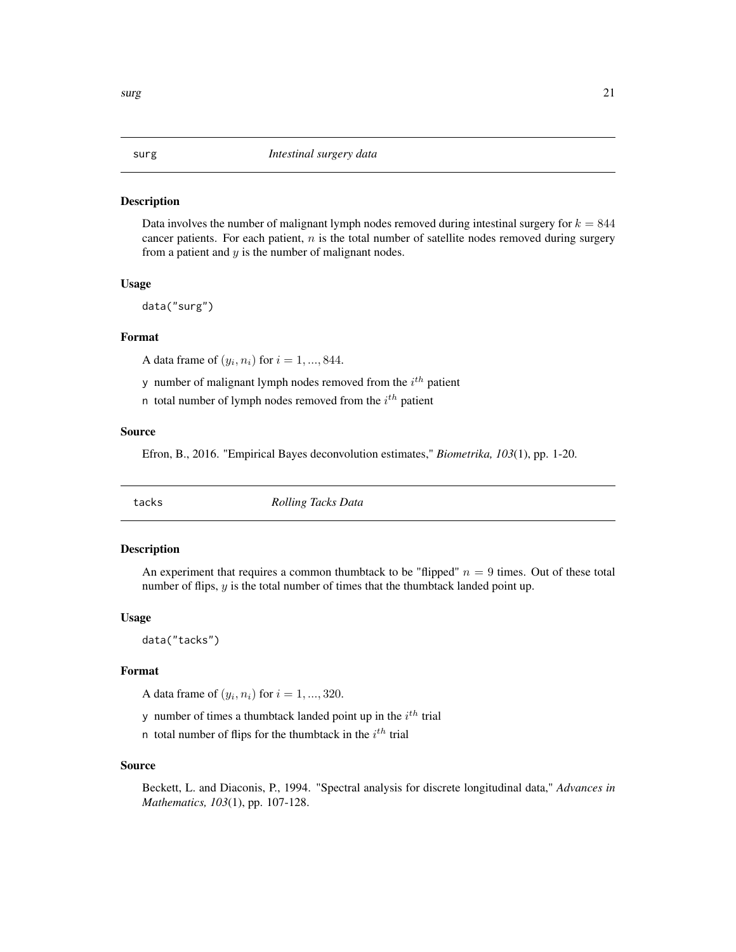<span id="page-20-0"></span>Data involves the number of malignant lymph nodes removed during intestinal surgery for  $k = 844$ cancer patients. For each patient,  $n$  is the total number of satellite nodes removed during surgery from a patient and  $y$  is the number of malignant nodes.

#### Usage

data("surg")

# Format

A data frame of  $(y_i, n_i)$  for  $i = 1, ..., 844$ .

y number of malignant lymph nodes removed from the  $i<sup>th</sup>$  patient

n total number of lymph nodes removed from the  $i^{th}$  patient

#### Source

Efron, B., 2016. "Empirical Bayes deconvolution estimates," *Biometrika, 103*(1), pp. 1-20.

tacks *Rolling Tacks Data*

#### Description

An experiment that requires a common thumbtack to be "flipped"  $n = 9$  times. Out of these total number of flips, y is the total number of times that the thumbtack landed point up.

#### Usage

data("tacks")

#### Format

A data frame of  $(y_i, n_i)$  for  $i = 1, ..., 320$ .

y number of times a thumbtack landed point up in the  $i<sup>th</sup>$  trial

n total number of flips for the thumbtack in the  $i<sup>th</sup>$  trial

### Source

Beckett, L. and Diaconis, P., 1994. "Spectral analysis for discrete longitudinal data," *Advances in Mathematics, 103*(1), pp. 107-128.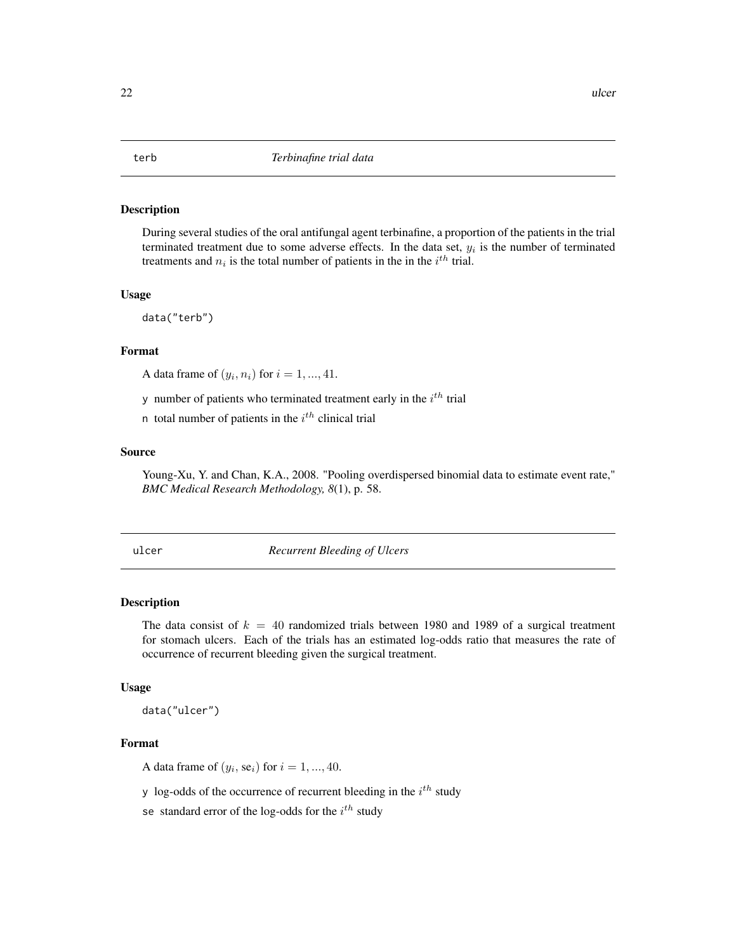<span id="page-21-0"></span>During several studies of the oral antifungal agent terbinafine, a proportion of the patients in the trial terminated treatment due to some adverse effects. In the data set,  $y_i$  is the number of terminated treatments and  $n_i$  is the total number of patients in the in the  $i^{th}$  trial.

#### Usage

data("terb")

# Format

A data frame of  $(y_i, n_i)$  for  $i = 1, ..., 41$ .

y number of patients who terminated treatment early in the  $i<sup>th</sup>$  trial

n total number of patients in the  $i<sup>th</sup>$  clinical trial

#### Source

Young-Xu, Y. and Chan, K.A., 2008. "Pooling overdispersed binomial data to estimate event rate," *BMC Medical Research Methodology, 8*(1), p. 58.

ulcer *Recurrent Bleeding of Ulcers*

#### Description

The data consist of  $k = 40$  randomized trials between 1980 and 1989 of a surgical treatment for stomach ulcers. Each of the trials has an estimated log-odds ratio that measures the rate of occurrence of recurrent bleeding given the surgical treatment.

#### Usage

data("ulcer")

# Format

A data frame of  $(y_i, \text{se}_i)$  for  $i = 1, ..., 40$ .

y log-odds of the occurrence of recurrent bleeding in the  $i^{th}$  study

se standard error of the log-odds for the  $i^{th}$  study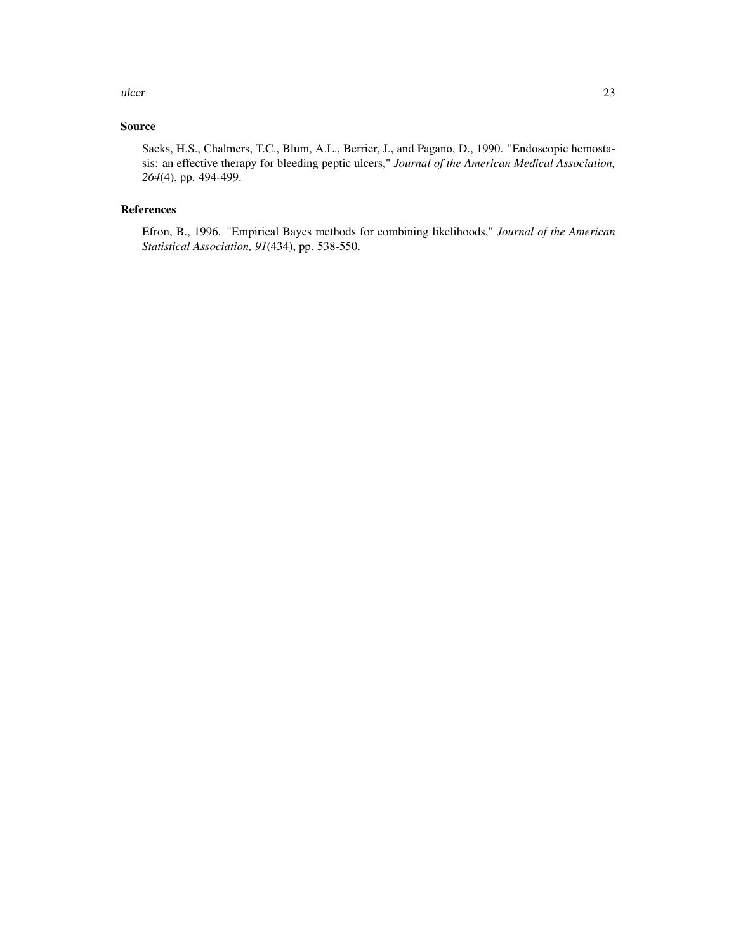# Source

Sacks, H.S., Chalmers, T.C., Blum, A.L., Berrier, J., and Pagano, D., 1990. "Endoscopic hemostasis: an effective therapy for bleeding peptic ulcers," *Journal of the American Medical Association, 264*(4), pp. 494-499.

# References

Efron, B., 1996. "Empirical Bayes methods for combining likelihoods," *Journal of the American Statistical Association, 91*(434), pp. 538-550.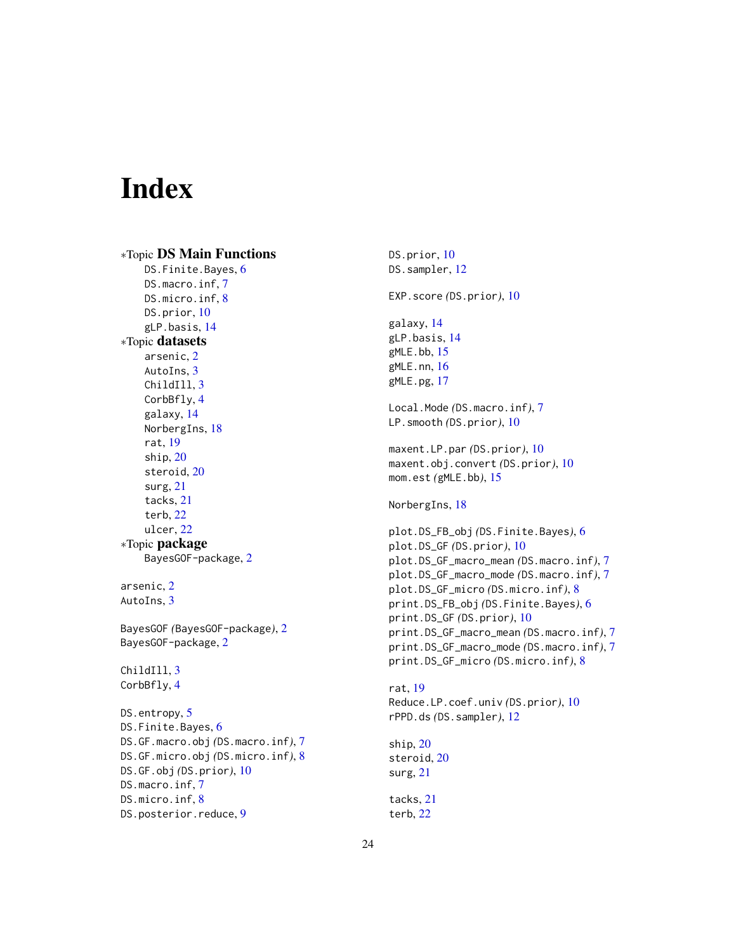# <span id="page-23-0"></span>Index

∗Topic DS Main Functions DS.Finite.Bayes, [6](#page-5-0) DS.macro.inf, [7](#page-6-0) DS.micro.inf, [8](#page-7-0) DS.prior, [10](#page-9-0) gLP.basis, [14](#page-13-0) ∗Topic datasets arsenic, [2](#page-1-0) AutoIns, [3](#page-2-0) ChildIll, [3](#page-2-0) CorbBfly, [4](#page-3-0) galaxy, [14](#page-13-0) NorbergIns, [18](#page-17-0) rat, [19](#page-18-0) ship, [20](#page-19-0) steroid, [20](#page-19-0) surg, [21](#page-20-0) tacks, [21](#page-20-0) terb, [22](#page-21-0) ulcer, [22](#page-21-0) ∗Topic package BayesGOF-package, [2](#page-1-0) arsenic, [2](#page-1-0) AutoIns, [3](#page-2-0) BayesGOF *(*BayesGOF-package*)*, [2](#page-1-0) BayesGOF-package, [2](#page-1-0) ChildIll, [3](#page-2-0) CorbBfly, [4](#page-3-0) DS.entropy, [5](#page-4-0) DS.Finite.Bayes, [6](#page-5-0) DS.GF.macro.obj *(*DS.macro.inf*)*, [7](#page-6-0) DS.GF.micro.obj *(*DS.micro.inf*)*, [8](#page-7-0) DS.GF.obj *(*DS.prior*)*, [10](#page-9-0) DS.macro.inf, [7](#page-6-0) DS.micro.inf, [8](#page-7-0) DS.posterior.reduce, [9](#page-8-0)

DS.prior, [10](#page-9-0) DS.sampler, [12](#page-11-0) EXP.score *(*DS.prior*)*, [10](#page-9-0) galaxy, [14](#page-13-0) gLP.basis, [14](#page-13-0) gMLE.bb, [15](#page-14-0) gMLE.nn, [16](#page-15-0) gMLE.pg, [17](#page-16-0) Local.Mode *(*DS.macro.inf*)*, [7](#page-6-0) LP.smooth *(*DS.prior*)*, [10](#page-9-0) maxent.LP.par *(*DS.prior*)*, [10](#page-9-0) maxent.obj.convert *(*DS.prior*)*, [10](#page-9-0) mom.est *(*gMLE.bb*)*, [15](#page-14-0) NorbergIns, [18](#page-17-0) plot.DS\_FB\_obj *(*DS.Finite.Bayes*)*, [6](#page-5-0) plot.DS\_GF *(*DS.prior*)*, [10](#page-9-0) plot.DS\_GF\_macro\_mean *(*DS.macro.inf*)*, [7](#page-6-0) plot.DS\_GF\_macro\_mode *(*DS.macro.inf*)*, [7](#page-6-0) plot.DS\_GF\_micro *(*DS.micro.inf*)*, [8](#page-7-0) print.DS\_FB\_obj *(*DS.Finite.Bayes*)*, [6](#page-5-0) print.DS\_GF *(*DS.prior*)*, [10](#page-9-0) print.DS\_GF\_macro\_mean *(*DS.macro.inf*)*, [7](#page-6-0) print.DS\_GF\_macro\_mode *(*DS.macro.inf*)*, [7](#page-6-0) print.DS\_GF\_micro *(*DS.micro.inf*)*, [8](#page-7-0) rat, [19](#page-18-0) Reduce.LP.coef.univ *(*DS.prior*)*, [10](#page-9-0) rPPD.ds *(*DS.sampler*)*, [12](#page-11-0) ship, [20](#page-19-0) steroid, [20](#page-19-0) surg, [21](#page-20-0) tacks, [21](#page-20-0) terb, [22](#page-21-0)